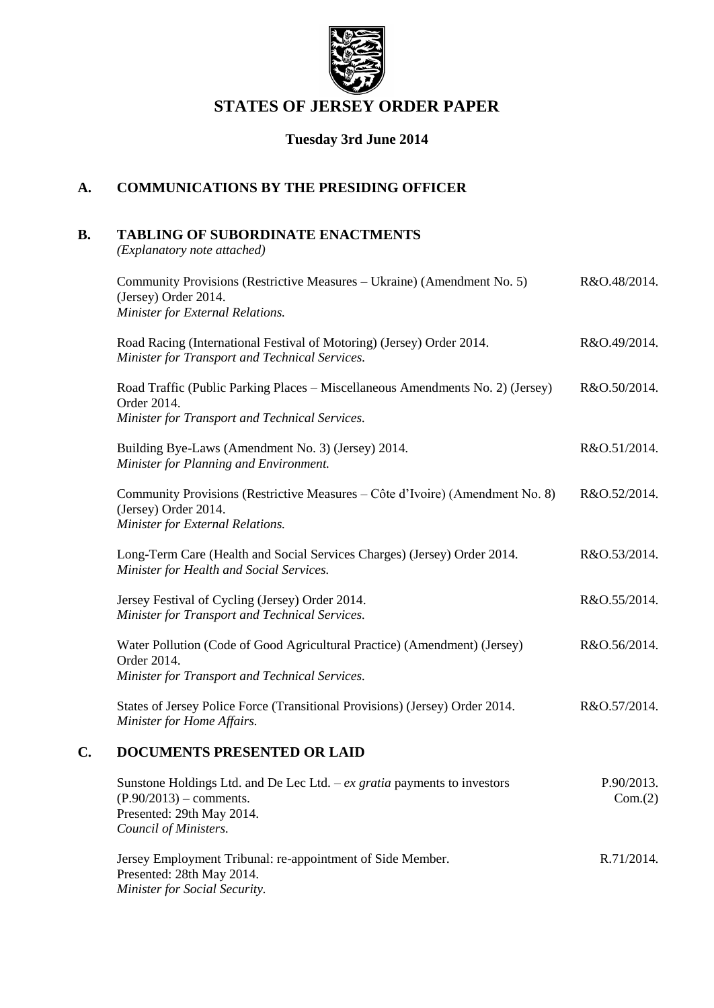

# **STATES OF JERSEY ORDER PAPER**

## **Tuesday 3rd June 2014**

## **A. COMMUNICATIONS BY THE PRESIDING OFFICER**

# **B. TABLING OF SUBORDINATE ENACTMENTS**

*(Explanatory note attached)*

|    | Community Provisions (Restrictive Measures – Ukraine) (Amendment No. 5)<br>(Jersey) Order 2014.<br>Minister for External Relations.                          | R&O.48/2014.          |
|----|--------------------------------------------------------------------------------------------------------------------------------------------------------------|-----------------------|
|    | Road Racing (International Festival of Motoring) (Jersey) Order 2014.<br>Minister for Transport and Technical Services.                                      | R&O.49/2014.          |
|    | Road Traffic (Public Parking Places – Miscellaneous Amendments No. 2) (Jersey)<br>Order 2014.<br>Minister for Transport and Technical Services.              | R&O.50/2014.          |
|    | Building Bye-Laws (Amendment No. 3) (Jersey) 2014.<br>Minister for Planning and Environment.                                                                 | R&O.51/2014.          |
|    | Community Provisions (Restrictive Measures - Côte d'Ivoire) (Amendment No. 8)<br>(Jersey) Order 2014.<br>Minister for External Relations.                    | R&O.52/2014.          |
|    | Long-Term Care (Health and Social Services Charges) (Jersey) Order 2014.<br>Minister for Health and Social Services.                                         | R&O.53/2014.          |
|    | Jersey Festival of Cycling (Jersey) Order 2014.<br>Minister for Transport and Technical Services.                                                            | R&O.55/2014.          |
|    | Water Pollution (Code of Good Agricultural Practice) (Amendment) (Jersey)<br>Order 2014.<br>Minister for Transport and Technical Services.                   | R&O.56/2014.          |
|    | States of Jersey Police Force (Transitional Provisions) (Jersey) Order 2014.<br>Minister for Home Affairs.                                                   | R&O.57/2014.          |
| C. | <b>DOCUMENTS PRESENTED OR LAID</b>                                                                                                                           |                       |
|    | Sunstone Holdings Ltd. and De Lec Ltd. $-ex$ gratia payments to investors<br>$(P.90/2013)$ – comments.<br>Presented: 29th May 2014.<br>Council of Ministers. | P.90/2013.<br>Com.(2) |
|    |                                                                                                                                                              |                       |

Jersey Employment Tribunal: re-appointment of Side Member. Presented: 28th May 2014. *Minister for Social Security.* R.71/2014.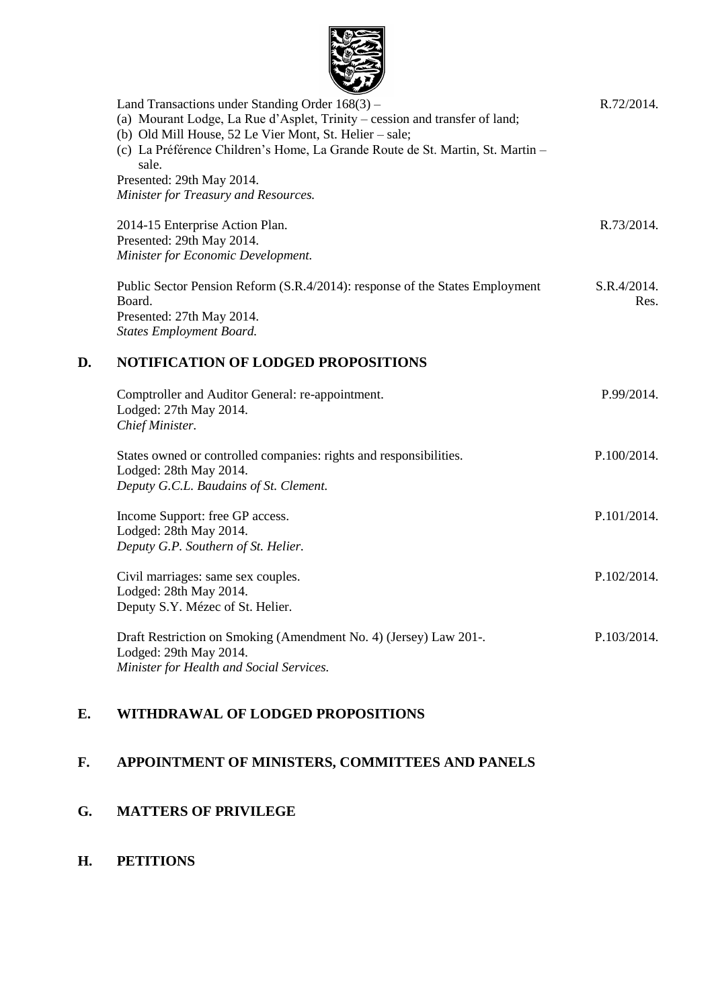

| Land Transactions under Standing Order $168(3)$ –                              | R.72/2014.                                                                                                                                                                                                                                                                                                                                                  |
|--------------------------------------------------------------------------------|-------------------------------------------------------------------------------------------------------------------------------------------------------------------------------------------------------------------------------------------------------------------------------------------------------------------------------------------------------------|
| (a) Mourant Lodge, La Rue d'Asplet, Trinity – cession and transfer of land;    |                                                                                                                                                                                                                                                                                                                                                             |
| (b) Old Mill House, 52 Le Vier Mont, St. Helier – sale;                        |                                                                                                                                                                                                                                                                                                                                                             |
| (c) La Préférence Children's Home, La Grande Route de St. Martin, St. Martin - |                                                                                                                                                                                                                                                                                                                                                             |
| sale.                                                                          |                                                                                                                                                                                                                                                                                                                                                             |
| Presented: 29th May 2014.                                                      |                                                                                                                                                                                                                                                                                                                                                             |
| Minister for Treasury and Resources.                                           |                                                                                                                                                                                                                                                                                                                                                             |
|                                                                                | R.73/2014.                                                                                                                                                                                                                                                                                                                                                  |
| Presented: 29th May 2014.                                                      |                                                                                                                                                                                                                                                                                                                                                             |
| Minister for Economic Development.                                             |                                                                                                                                                                                                                                                                                                                                                             |
| Public Sector Pension Reform (S.R.4/2014): response of the States Employment   | S.R.4/2014.                                                                                                                                                                                                                                                                                                                                                 |
| Board.                                                                         | Res.                                                                                                                                                                                                                                                                                                                                                        |
| Presented: 27th May 2014.                                                      |                                                                                                                                                                                                                                                                                                                                                             |
| <b>States Employment Board.</b>                                                |                                                                                                                                                                                                                                                                                                                                                             |
| <b>NOTIFICATION OF LODGED PROPOSITIONS</b>                                     |                                                                                                                                                                                                                                                                                                                                                             |
|                                                                                | P.99/2014.                                                                                                                                                                                                                                                                                                                                                  |
| Lodged: 27th May 2014.                                                         |                                                                                                                                                                                                                                                                                                                                                             |
| Chief Minister.                                                                |                                                                                                                                                                                                                                                                                                                                                             |
|                                                                                | P.100/2014.                                                                                                                                                                                                                                                                                                                                                 |
| Lodged: 28th May 2014.                                                         |                                                                                                                                                                                                                                                                                                                                                             |
| Deputy G.C.L. Baudains of St. Clement.                                         |                                                                                                                                                                                                                                                                                                                                                             |
|                                                                                | P.101/2014.                                                                                                                                                                                                                                                                                                                                                 |
| Lodged: 28th May 2014.                                                         |                                                                                                                                                                                                                                                                                                                                                             |
| Deputy G.P. Southern of St. Helier.                                            |                                                                                                                                                                                                                                                                                                                                                             |
|                                                                                | P.102/2014.                                                                                                                                                                                                                                                                                                                                                 |
|                                                                                |                                                                                                                                                                                                                                                                                                                                                             |
| Deputy S.Y. Mézec of St. Helier.                                               |                                                                                                                                                                                                                                                                                                                                                             |
|                                                                                | P.103/2014.                                                                                                                                                                                                                                                                                                                                                 |
|                                                                                |                                                                                                                                                                                                                                                                                                                                                             |
| Minister for Health and Social Services.                                       |                                                                                                                                                                                                                                                                                                                                                             |
|                                                                                | 2014-15 Enterprise Action Plan.<br>Comptroller and Auditor General: re-appointment.<br>States owned or controlled companies: rights and responsibilities.<br>Income Support: free GP access.<br>Civil marriages: same sex couples.<br>Lodged: 28th May 2014.<br>Draft Restriction on Smoking (Amendment No. 4) (Jersey) Law 201-.<br>Lodged: 29th May 2014. |

## **E. WITHDRAWAL OF LODGED PROPOSITIONS**

# **F. APPOINTMENT OF MINISTERS, COMMITTEES AND PANELS**

# **G. MATTERS OF PRIVILEGE**

# **H. PETITIONS**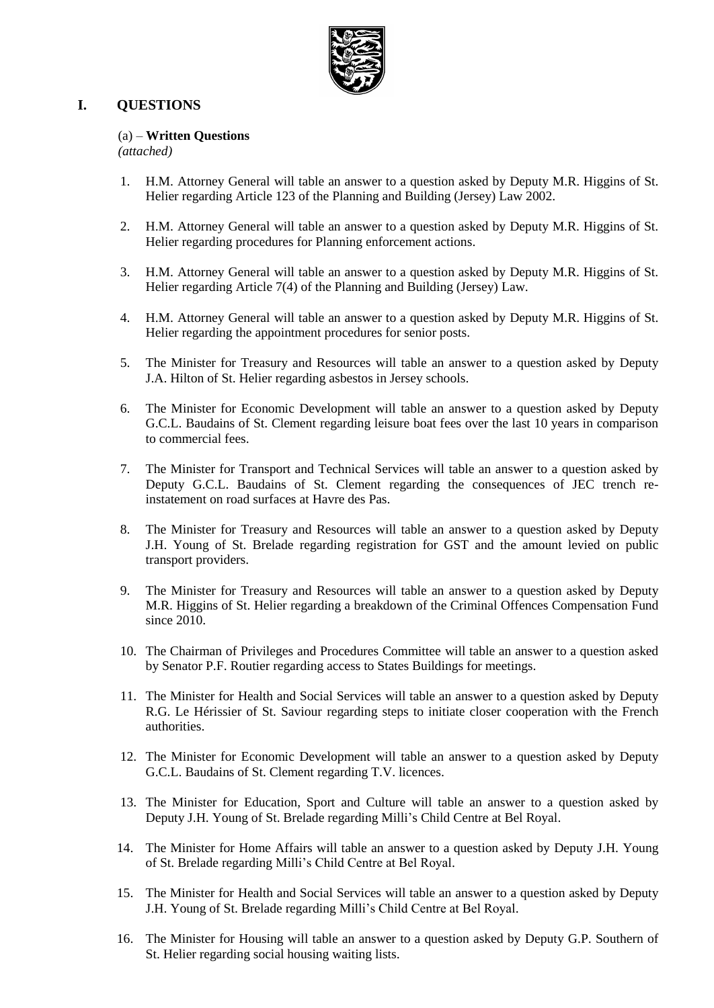

## **I. QUESTIONS**

## (a) – **Written Questions**

*(attached)*

- 1. H.M. Attorney General will table an answer to a question asked by Deputy M.R. Higgins of St. Helier regarding Article 123 of the Planning and Building (Jersey) Law 2002.
- 2. H.M. Attorney General will table an answer to a question asked by Deputy M.R. Higgins of St. Helier regarding procedures for Planning enforcement actions.
- 3. H.M. Attorney General will table an answer to a question asked by Deputy M.R. Higgins of St. Helier regarding Article 7(4) of the Planning and Building (Jersey) Law.
- 4. H.M. Attorney General will table an answer to a question asked by Deputy M.R. Higgins of St. Helier regarding the appointment procedures for senior posts.
- 5. The Minister for Treasury and Resources will table an answer to a question asked by Deputy J.A. Hilton of St. Helier regarding asbestos in Jersey schools.
- 6. The Minister for Economic Development will table an answer to a question asked by Deputy G.C.L. Baudains of St. Clement regarding leisure boat fees over the last 10 years in comparison to commercial fees.
- 7. The Minister for Transport and Technical Services will table an answer to a question asked by Deputy G.C.L. Baudains of St. Clement regarding the consequences of JEC trench reinstatement on road surfaces at Havre des Pas.
- 8. The Minister for Treasury and Resources will table an answer to a question asked by Deputy J.H. Young of St. Brelade regarding registration for GST and the amount levied on public transport providers.
- 9. The Minister for Treasury and Resources will table an answer to a question asked by Deputy M.R. Higgins of St. Helier regarding a breakdown of the Criminal Offences Compensation Fund since 2010.
- 10. The Chairman of Privileges and Procedures Committee will table an answer to a question asked by Senator P.F. Routier regarding access to States Buildings for meetings.
- 11. The Minister for Health and Social Services will table an answer to a question asked by Deputy R.G. Le Hérissier of St. Saviour regarding steps to initiate closer cooperation with the French authorities.
- 12. The Minister for Economic Development will table an answer to a question asked by Deputy G.C.L. Baudains of St. Clement regarding T.V. licences.
- 13. The Minister for Education, Sport and Culture will table an answer to a question asked by Deputy J.H. Young of St. Brelade regarding Milli's Child Centre at Bel Royal.
- 14. The Minister for Home Affairs will table an answer to a question asked by Deputy J.H. Young of St. Brelade regarding Milli's Child Centre at Bel Royal.
- 15. The Minister for Health and Social Services will table an answer to a question asked by Deputy J.H. Young of St. Brelade regarding Milli's Child Centre at Bel Royal.
- 16. The Minister for Housing will table an answer to a question asked by Deputy G.P. Southern of St. Helier regarding social housing waiting lists.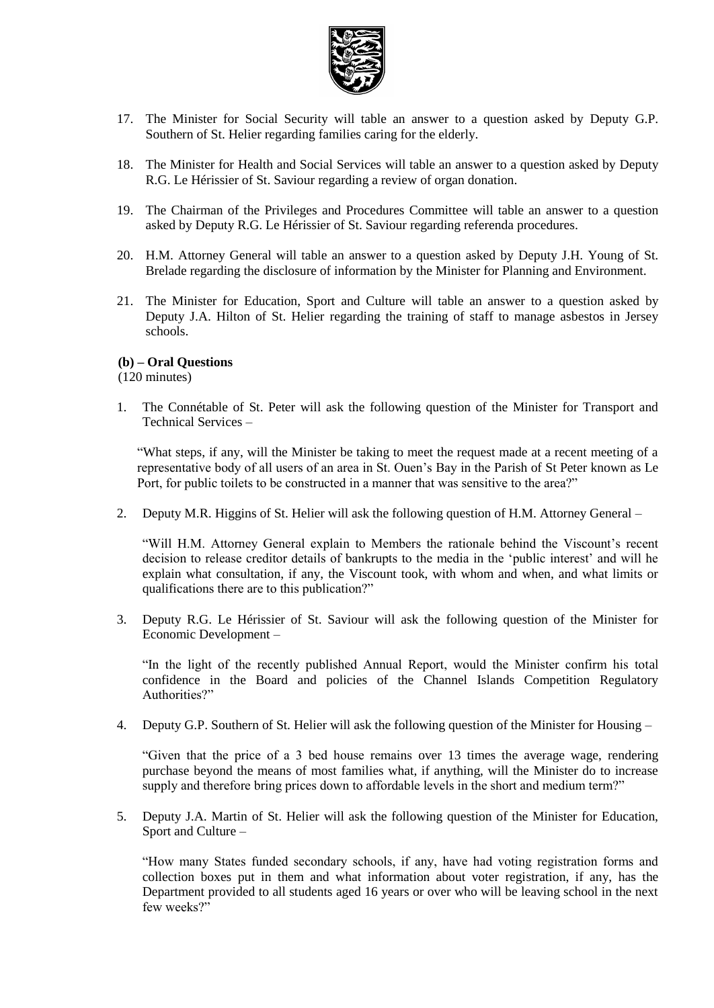

- 17. The Minister for Social Security will table an answer to a question asked by Deputy G.P. Southern of St. Helier regarding families caring for the elderly.
- 18. The Minister for Health and Social Services will table an answer to a question asked by Deputy R.G. Le Hérissier of St. Saviour regarding a review of organ donation.
- 19. The Chairman of the Privileges and Procedures Committee will table an answer to a question asked by Deputy R.G. Le Hérissier of St. Saviour regarding referenda procedures.
- 20. H.M. Attorney General will table an answer to a question asked by Deputy J.H. Young of St. Brelade regarding the disclosure of information by the Minister for Planning and Environment.
- 21. The Minister for Education, Sport and Culture will table an answer to a question asked by Deputy J.A. Hilton of St. Helier regarding the training of staff to manage asbestos in Jersey schools.

#### **(b) – Oral Questions**

(120 minutes)

1. The Connétable of St. Peter will ask the following question of the Minister for Transport and Technical Services –

"What steps, if any, will the Minister be taking to meet the request made at a recent meeting of a representative body of all users of an area in St. Ouen's Bay in the Parish of St Peter known as Le Port, for public toilets to be constructed in a manner that was sensitive to the area?"

2. Deputy M.R. Higgins of St. Helier will ask the following question of H.M. Attorney General –

"Will H.M. Attorney General explain to Members the rationale behind the Viscount's recent decision to release creditor details of bankrupts to the media in the 'public interest' and will he explain what consultation, if any, the Viscount took, with whom and when, and what limits or qualifications there are to this publication?"

3. Deputy R.G. Le Hérissier of St. Saviour will ask the following question of the Minister for Economic Development –

"In the light of the recently published Annual Report, would the Minister confirm his total confidence in the Board and policies of the Channel Islands Competition Regulatory Authorities?"

4. Deputy G.P. Southern of St. Helier will ask the following question of the Minister for Housing –

"Given that the price of a 3 bed house remains over 13 times the average wage, rendering purchase beyond the means of most families what, if anything, will the Minister do to increase supply and therefore bring prices down to affordable levels in the short and medium term?"

5. Deputy J.A. Martin of St. Helier will ask the following question of the Minister for Education, Sport and Culture –

"How many States funded secondary schools, if any, have had voting registration forms and collection boxes put in them and what information about voter registration, if any, has the Department provided to all students aged 16 years or over who will be leaving school in the next few weeks?"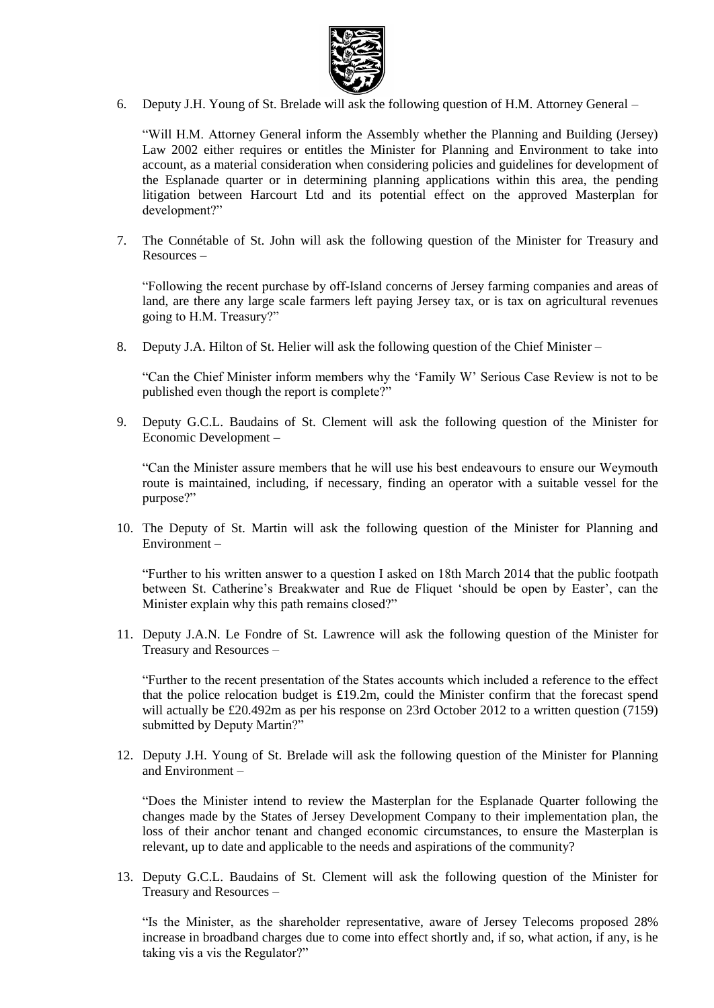

6. Deputy J.H. Young of St. Brelade will ask the following question of H.M. Attorney General –

"Will H.M. Attorney General inform the Assembly whether the Planning and Building (Jersey) Law 2002 either requires or entitles the Minister for Planning and Environment to take into account, as a material consideration when considering policies and guidelines for development of the Esplanade quarter or in determining planning applications within this area, the pending litigation between Harcourt Ltd and its potential effect on the approved Masterplan for development?"

7. The Connétable of St. John will ask the following question of the Minister for Treasury and Resources –

"Following the recent purchase by off-Island concerns of Jersey farming companies and areas of land, are there any large scale farmers left paying Jersey tax, or is tax on agricultural revenues going to H.M. Treasury?"

8. Deputy J.A. Hilton of St. Helier will ask the following question of the Chief Minister –

"Can the Chief Minister inform members why the 'Family W' Serious Case Review is not to be published even though the report is complete?"

9. Deputy G.C.L. Baudains of St. Clement will ask the following question of the Minister for Economic Development –

"Can the Minister assure members that he will use his best endeavours to ensure our Weymouth route is maintained, including, if necessary, finding an operator with a suitable vessel for the purpose?"

10. The Deputy of St. Martin will ask the following question of the Minister for Planning and Environment –

"Further to his written answer to a question I asked on 18th March 2014 that the public footpath between St. Catherine's Breakwater and Rue de Fliquet 'should be open by Easter', can the Minister explain why this path remains closed?"

11. Deputy J.A.N. Le Fondre of St. Lawrence will ask the following question of the Minister for Treasury and Resources –

"Further to the recent presentation of the States accounts which included a reference to the effect that the police relocation budget is £19.2m, could the Minister confirm that the forecast spend will actually be £20.492m as per his response on 23rd October 2012 to a written question (7159) submitted by Deputy Martin?"

12. Deputy J.H. Young of St. Brelade will ask the following question of the Minister for Planning and Environment –

"Does the Minister intend to review the Masterplan for the Esplanade Quarter following the changes made by the States of Jersey Development Company to their implementation plan, the loss of their anchor tenant and changed economic circumstances, to ensure the Masterplan is relevant, up to date and applicable to the needs and aspirations of the community?

13. Deputy G.C.L. Baudains of St. Clement will ask the following question of the Minister for Treasury and Resources –

"Is the Minister, as the shareholder representative, aware of Jersey Telecoms proposed 28% increase in broadband charges due to come into effect shortly and, if so, what action, if any, is he taking vis a vis the Regulator?"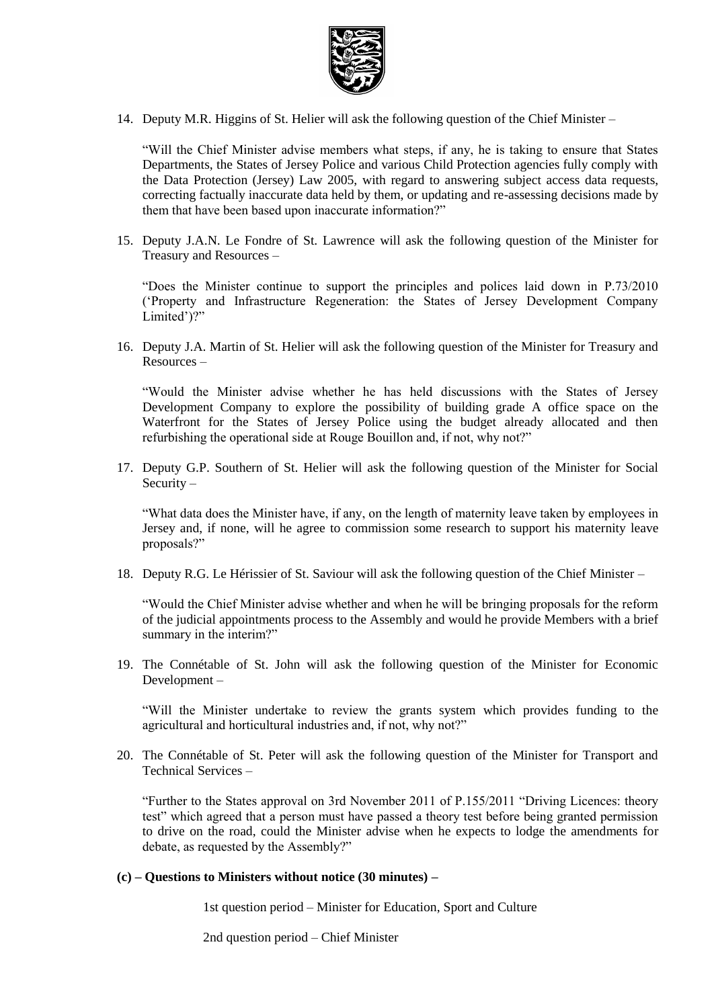

14. Deputy M.R. Higgins of St. Helier will ask the following question of the Chief Minister –

"Will the Chief Minister advise members what steps, if any, he is taking to ensure that States Departments, the States of Jersey Police and various Child Protection agencies fully comply with the Data Protection (Jersey) Law 2005, with regard to answering subject access data requests, correcting factually inaccurate data held by them, or updating and re-assessing decisions made by them that have been based upon inaccurate information?"

15. Deputy J.A.N. Le Fondre of St. Lawrence will ask the following question of the Minister for Treasury and Resources –

"Does the Minister continue to support the principles and polices laid down in P.73/2010 ('Property and Infrastructure Regeneration: the States of Jersey Development Company Limited')?"

16. Deputy J.A. Martin of St. Helier will ask the following question of the Minister for Treasury and Resources –

"Would the Minister advise whether he has held discussions with the States of Jersey Development Company to explore the possibility of building grade A office space on the Waterfront for the States of Jersey Police using the budget already allocated and then refurbishing the operational side at Rouge Bouillon and, if not, why not?"

17. Deputy G.P. Southern of St. Helier will ask the following question of the Minister for Social Security –

"What data does the Minister have, if any, on the length of maternity leave taken by employees in Jersey and, if none, will he agree to commission some research to support his maternity leave proposals?"

18. Deputy R.G. Le Hérissier of St. Saviour will ask the following question of the Chief Minister –

"Would the Chief Minister advise whether and when he will be bringing proposals for the reform of the judicial appointments process to the Assembly and would he provide Members with a brief summary in the interim?"

19. The Connétable of St. John will ask the following question of the Minister for Economic Development –

"Will the Minister undertake to review the grants system which provides funding to the agricultural and horticultural industries and, if not, why not?"

20. The Connétable of St. Peter will ask the following question of the Minister for Transport and Technical Services –

"Further to the States approval on 3rd November 2011 of P.155/2011 "Driving Licences: theory test" which agreed that a person must have passed a theory test before being granted permission to drive on the road, could the Minister advise when he expects to lodge the amendments for debate, as requested by the Assembly?"

#### **(c) – Questions to Ministers without notice (30 minutes) –**

1st question period – Minister for Education, Sport and Culture

2nd question period – Chief Minister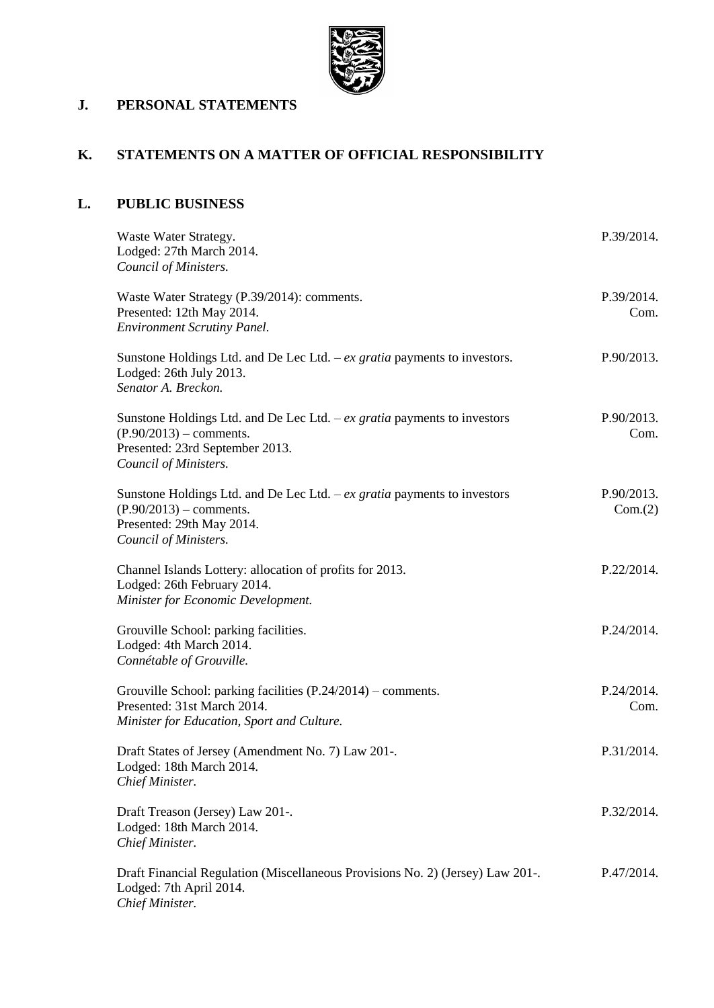

# **J. PERSONAL STATEMENTS**

# **K. STATEMENTS ON A MATTER OF OFFICIAL RESPONSIBILITY**

## **L. PUBLIC BUSINESS**

| Waste Water Strategy.<br>Lodged: 27th March 2014.<br>Council of Ministers.                                                                                         | P.39/2014.            |
|--------------------------------------------------------------------------------------------------------------------------------------------------------------------|-----------------------|
| Waste Water Strategy (P.39/2014): comments.<br>Presented: 12th May 2014.<br><b>Environment Scrutiny Panel.</b>                                                     | P.39/2014.<br>Com.    |
| Sunstone Holdings Ltd. and De Lec Ltd. $-ex$ gratia payments to investors.<br>Lodged: 26th July 2013.<br>Senator A. Breckon.                                       | P.90/2013.            |
| Sunstone Holdings Ltd. and De Lec Ltd. $-ex$ gratia payments to investors<br>$(P.90/2013)$ – comments.<br>Presented: 23rd September 2013.<br>Council of Ministers. | P.90/2013.<br>Com.    |
| Sunstone Holdings Ltd. and De Lec Ltd. $-ex$ gratia payments to investors<br>$(P.90/2013)$ – comments.<br>Presented: 29th May 2014.<br>Council of Ministers.       | P.90/2013.<br>Com.(2) |
| Channel Islands Lottery: allocation of profits for 2013.<br>Lodged: 26th February 2014.<br>Minister for Economic Development.                                      | P.22/2014.            |
| Grouville School: parking facilities.<br>Lodged: 4th March 2014.<br>Connétable of Grouville.                                                                       | P.24/2014.            |
| Grouville School: parking facilities (P.24/2014) – comments.<br>Presented: 31st March 2014.<br>Minister for Education, Sport and Culture.                          | P.24/2014.<br>Com.    |
| Draft States of Jersey (Amendment No. 7) Law 201-.<br>Lodged: 18th March 2014.<br>Chief Minister.                                                                  | P.31/2014.            |
| Draft Treason (Jersey) Law 201-.<br>Lodged: 18th March 2014.<br>Chief Minister.                                                                                    | P.32/2014.            |
| Draft Financial Regulation (Miscellaneous Provisions No. 2) (Jersey) Law 201-.<br>Lodged: 7th April 2014.<br>Chief Minister.                                       | P.47/2014.            |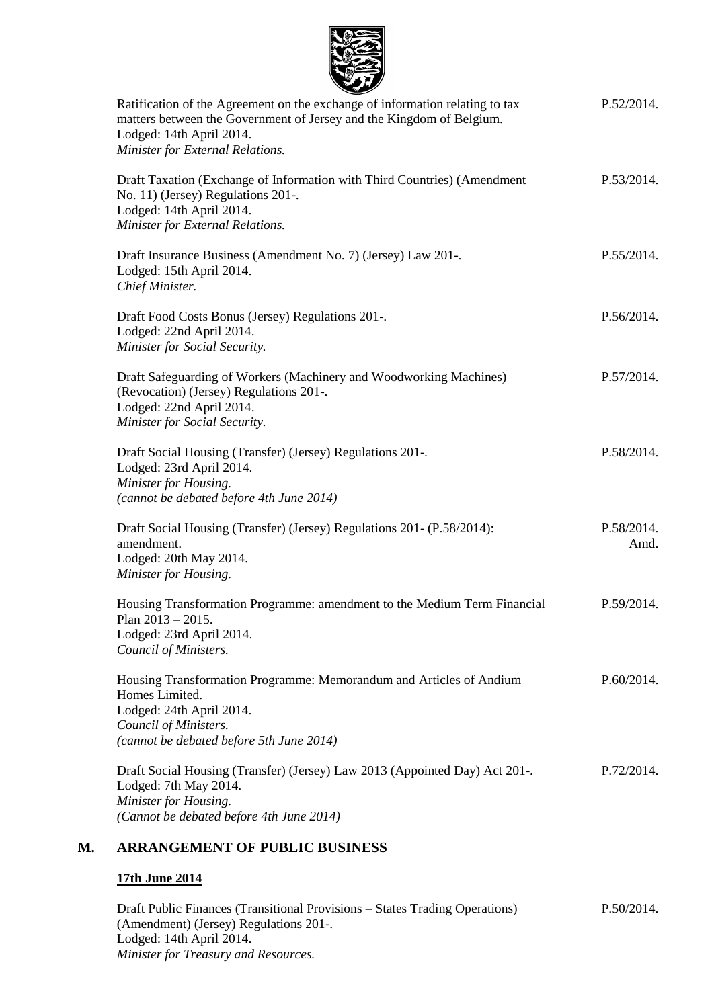

| $\sim$                                                                                                                                               |            |
|------------------------------------------------------------------------------------------------------------------------------------------------------|------------|
| Ratification of the Agreement on the exchange of information relating to tax<br>matters between the Government of Jersey and the Kingdom of Belgium. | P.52/2014. |
| Lodged: 14th April 2014.                                                                                                                             |            |
| Minister for External Relations.                                                                                                                     |            |
| Draft Taxation (Exchange of Information with Third Countries) (Amendment                                                                             | P.53/2014. |
| No. 11) (Jersey) Regulations 201-.                                                                                                                   |            |
| Lodged: 14th April 2014.                                                                                                                             |            |
| Minister for External Relations.                                                                                                                     |            |
| Draft Insurance Business (Amendment No. 7) (Jersey) Law 201-.                                                                                        | P.55/2014. |
| Lodged: 15th April 2014.                                                                                                                             |            |
| Chief Minister.                                                                                                                                      |            |
| Draft Food Costs Bonus (Jersey) Regulations 201-.                                                                                                    | P.56/2014. |
| Lodged: 22nd April 2014.                                                                                                                             |            |
| Minister for Social Security.                                                                                                                        |            |
| Draft Safeguarding of Workers (Machinery and Woodworking Machines)                                                                                   | P.57/2014. |
| (Revocation) (Jersey) Regulations 201-.                                                                                                              |            |
| Lodged: 22nd April 2014.                                                                                                                             |            |
| Minister for Social Security.                                                                                                                        |            |
| Draft Social Housing (Transfer) (Jersey) Regulations 201-.                                                                                           | P.58/2014. |
| Lodged: 23rd April 2014.                                                                                                                             |            |
| Minister for Housing.                                                                                                                                |            |
| (cannot be debated before 4th June 2014)                                                                                                             |            |
| Draft Social Housing (Transfer) (Jersey) Regulations 201- (P.58/2014):                                                                               | P.58/2014. |
| amendment.                                                                                                                                           | Amd.       |
| Lodged: 20th May 2014.                                                                                                                               |            |
| Minister for Housing.                                                                                                                                |            |
| Housing Transformation Programme: amendment to the Medium Term Financial                                                                             | P.59/2014. |
| Plan $2013 - 2015$ .                                                                                                                                 |            |
| Lodged: 23rd April 2014.                                                                                                                             |            |
| Council of Ministers.                                                                                                                                |            |
| Housing Transformation Programme: Memorandum and Articles of Andium                                                                                  | P.60/2014. |
| Homes Limited.                                                                                                                                       |            |
| Lodged: 24th April 2014.                                                                                                                             |            |
| Council of Ministers.                                                                                                                                |            |
| (cannot be debated before 5th June 2014)                                                                                                             |            |
| Draft Social Housing (Transfer) (Jersey) Law 2013 (Appointed Day) Act 201-.                                                                          | P.72/2014. |
| Lodged: 7th May 2014.                                                                                                                                |            |
| Minister for Housing.                                                                                                                                |            |
| (Cannot be debated before 4th June 2014)                                                                                                             |            |
| <b>ARRANGEMENT OF PUBLIC BUSINESS</b>                                                                                                                |            |

## **17th June 2014**

Draft Public Finances (Transitional Provisions – States Trading Operations) (Amendment) (Jersey) Regulations 201-. Lodged: 14th April 2014. *Minister for Treasury and Resources.* P.50/2014.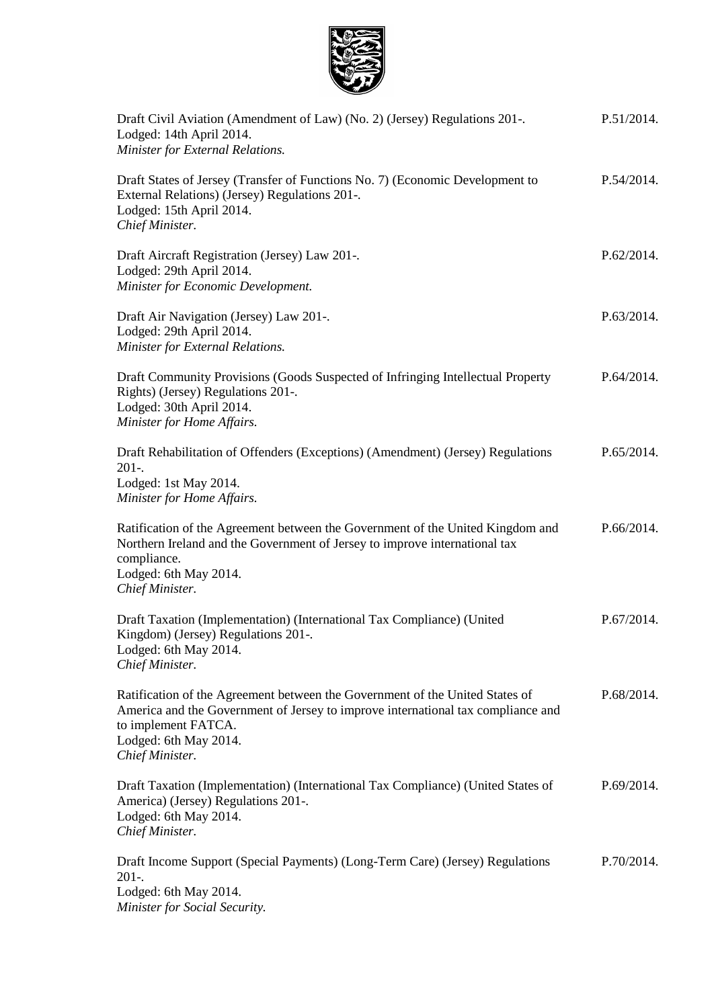

| Draft Civil Aviation (Amendment of Law) (No. 2) (Jersey) Regulations 201-.<br>Lodged: 14th April 2014.<br>Minister for External Relations.                                                                                          | P.51/2014. |
|-------------------------------------------------------------------------------------------------------------------------------------------------------------------------------------------------------------------------------------|------------|
| Draft States of Jersey (Transfer of Functions No. 7) (Economic Development to<br>External Relations) (Jersey) Regulations 201-.<br>Lodged: 15th April 2014.<br>Chief Minister.                                                      | P.54/2014. |
| Draft Aircraft Registration (Jersey) Law 201-.<br>Lodged: 29th April 2014.<br>Minister for Economic Development.                                                                                                                    | P.62/2014. |
| Draft Air Navigation (Jersey) Law 201-.<br>Lodged: 29th April 2014.<br>Minister for External Relations.                                                                                                                             | P.63/2014. |
| Draft Community Provisions (Goods Suspected of Infringing Intellectual Property<br>Rights) (Jersey) Regulations 201-.<br>Lodged: 30th April 2014.<br>Minister for Home Affairs.                                                     | P.64/2014. |
| Draft Rehabilitation of Offenders (Exceptions) (Amendment) (Jersey) Regulations<br>$201-.$<br>Lodged: 1st May 2014.<br>Minister for Home Affairs.                                                                                   | P.65/2014. |
| Ratification of the Agreement between the Government of the United Kingdom and<br>Northern Ireland and the Government of Jersey to improve international tax<br>compliance.<br>Lodged: 6th May 2014.<br>Chief Minister.             | P.66/2014. |
| Draft Taxation (Implementation) (International Tax Compliance) (United<br>Kingdom) (Jersey) Regulations 201-.<br>Lodged: 6th May 2014.<br>Chief Minister.                                                                           | P.67/2014. |
| Ratification of the Agreement between the Government of the United States of<br>America and the Government of Jersey to improve international tax compliance and<br>to implement FATCA.<br>Lodged: 6th May 2014.<br>Chief Minister. | P.68/2014. |
| Draft Taxation (Implementation) (International Tax Compliance) (United States of<br>America) (Jersey) Regulations 201-.<br>Lodged: 6th May 2014.<br>Chief Minister.                                                                 | P.69/2014. |
| Draft Income Support (Special Payments) (Long-Term Care) (Jersey) Regulations<br>$201 -$<br>Lodged: 6th May 2014.<br>Minister for Social Security.                                                                                  | P.70/2014. |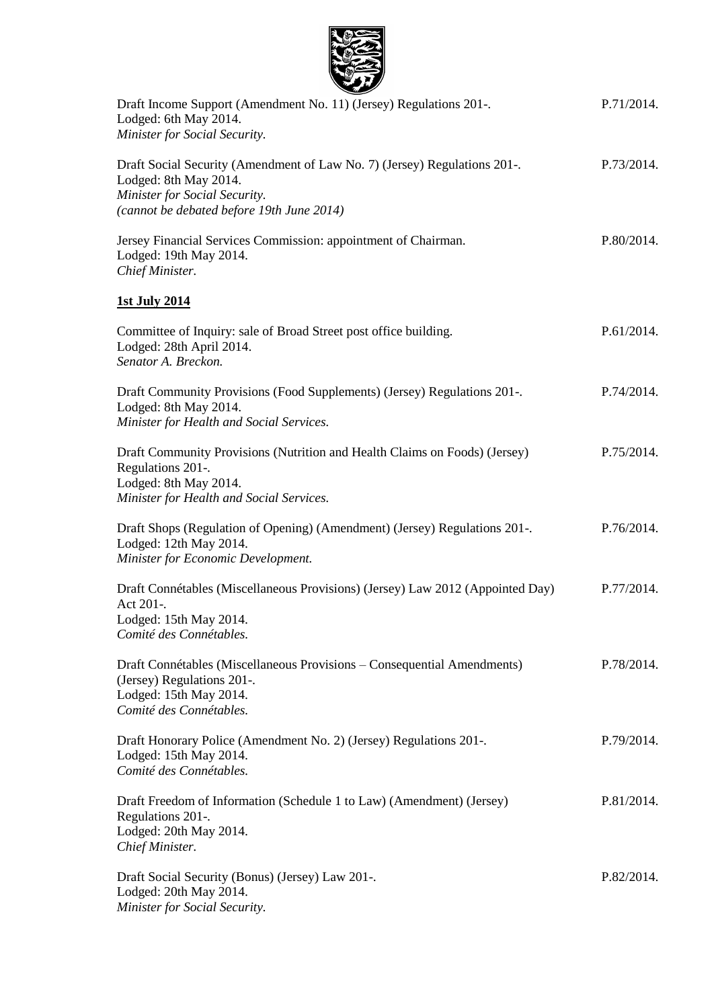| Draft Income Support (Amendment No. 11) (Jersey) Regulations 201-.<br>Lodged: 6th May 2014.<br>Minister for Social Security.                                                     | P.71/2014. |
|----------------------------------------------------------------------------------------------------------------------------------------------------------------------------------|------------|
| Draft Social Security (Amendment of Law No. 7) (Jersey) Regulations 201-.<br>Lodged: 8th May 2014.<br>Minister for Social Security.<br>(cannot be debated before 19th June 2014) | P.73/2014. |
| Jersey Financial Services Commission: appointment of Chairman.<br>Lodged: 19th May 2014.<br>Chief Minister.                                                                      | P.80/2014. |
| 1st July 2014                                                                                                                                                                    |            |
| Committee of Inquiry: sale of Broad Street post office building.<br>Lodged: 28th April 2014.<br>Senator A. Breckon.                                                              | P.61/2014. |
| Draft Community Provisions (Food Supplements) (Jersey) Regulations 201-.<br>Lodged: 8th May 2014.<br>Minister for Health and Social Services.                                    | P.74/2014. |
| Draft Community Provisions (Nutrition and Health Claims on Foods) (Jersey)<br>Regulations 201-.<br>Lodged: 8th May 2014.<br>Minister for Health and Social Services.             | P.75/2014. |
| Draft Shops (Regulation of Opening) (Amendment) (Jersey) Regulations 201-.<br>Lodged: 12th May 2014.<br>Minister for Economic Development.                                       | P.76/2014. |
| Draft Connétables (Miscellaneous Provisions) (Jersey) Law 2012 (Appointed Day)<br>Act 201-.<br>Lodged: 15th May 2014.<br>Comité des Connétables.                                 | P.77/2014. |
| Draft Connétables (Miscellaneous Provisions – Consequential Amendments)<br>(Jersey) Regulations 201-.<br>Lodged: 15th May 2014.<br>Comité des Connétables.                       | P.78/2014. |
| Draft Honorary Police (Amendment No. 2) (Jersey) Regulations 201-.<br>Lodged: 15th May 2014.<br>Comité des Connétables.                                                          | P.79/2014. |
| Draft Freedom of Information (Schedule 1 to Law) (Amendment) (Jersey)<br>Regulations 201-.<br>Lodged: 20th May 2014.<br>Chief Minister.                                          | P.81/2014. |
| Draft Social Security (Bonus) (Jersey) Law 201-.<br>Lodged: 20th May 2014.<br>Minister for Social Security.                                                                      | P.82/2014. |

2.8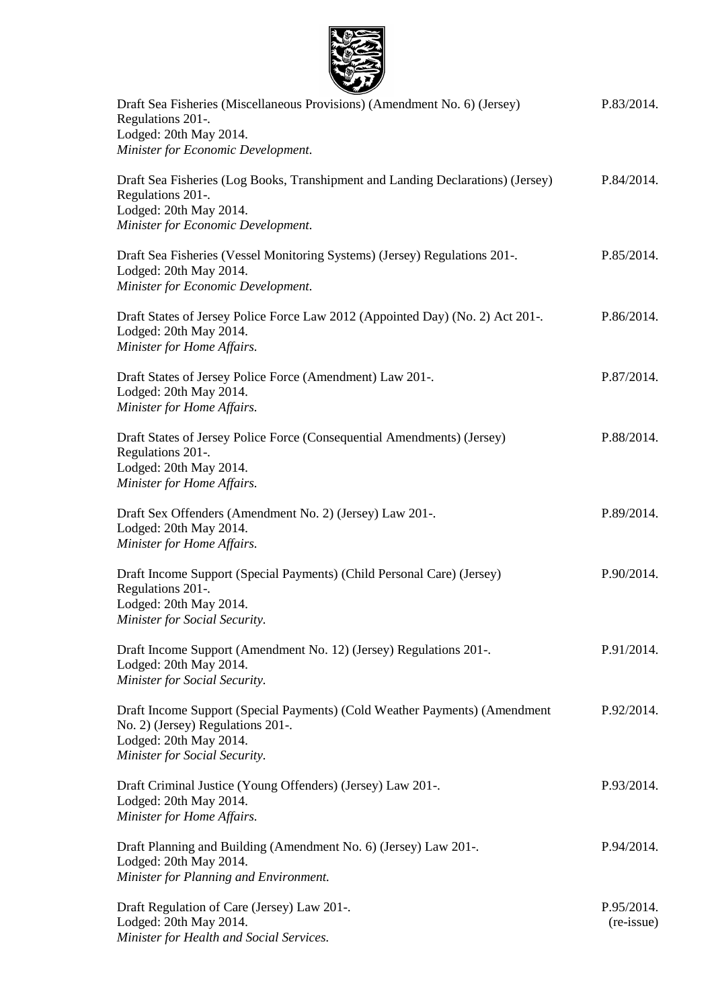

| $\sim$<br>Draft Sea Fisheries (Miscellaneous Provisions) (Amendment No. 6) (Jersey)<br>Regulations 201-.<br>Lodged: 20th May 2014.<br>Minister for Economic Development.   | P.83/2014.               |
|----------------------------------------------------------------------------------------------------------------------------------------------------------------------------|--------------------------|
| Draft Sea Fisheries (Log Books, Transhipment and Landing Declarations) (Jersey)<br>Regulations 201-.<br>Lodged: 20th May 2014.<br>Minister for Economic Development.       | P.84/2014.               |
| Draft Sea Fisheries (Vessel Monitoring Systems) (Jersey) Regulations 201-.<br>Lodged: 20th May 2014.<br>Minister for Economic Development.                                 | P.85/2014.               |
| Draft States of Jersey Police Force Law 2012 (Appointed Day) (No. 2) Act 201-.<br>Lodged: 20th May 2014.<br>Minister for Home Affairs.                                     | P.86/2014.               |
| Draft States of Jersey Police Force (Amendment) Law 201-.<br>Lodged: 20th May 2014.<br>Minister for Home Affairs.                                                          | P.87/2014.               |
| Draft States of Jersey Police Force (Consequential Amendments) (Jersey)<br>Regulations 201-.<br>Lodged: 20th May 2014.<br>Minister for Home Affairs.                       | P.88/2014.               |
| Draft Sex Offenders (Amendment No. 2) (Jersey) Law 201-.<br>Lodged: 20th May 2014.<br>Minister for Home Affairs.                                                           | P.89/2014.               |
| Draft Income Support (Special Payments) (Child Personal Care) (Jersey)<br>Regulations 201-.<br>Lodged: 20th May 2014.<br>Minister for Social Security.                     | P.90/2014.               |
| Draft Income Support (Amendment No. 12) (Jersey) Regulations 201-.<br>Lodged: 20th May 2014.<br>Minister for Social Security.                                              | P.91/2014.               |
| Draft Income Support (Special Payments) (Cold Weather Payments) (Amendment<br>No. 2) (Jersey) Regulations 201-.<br>Lodged: 20th May 2014.<br>Minister for Social Security. | P.92/2014.               |
| Draft Criminal Justice (Young Offenders) (Jersey) Law 201-.<br>Lodged: 20th May 2014.<br>Minister for Home Affairs.                                                        | P.93/2014.               |
| Draft Planning and Building (Amendment No. 6) (Jersey) Law 201-.<br>Lodged: 20th May 2014.<br>Minister for Planning and Environment.                                       | P.94/2014.               |
| Draft Regulation of Care (Jersey) Law 201-.<br>Lodged: 20th May 2014.<br>Minister for Health and Social Services.                                                          | P.95/2014.<br>(re-issue) |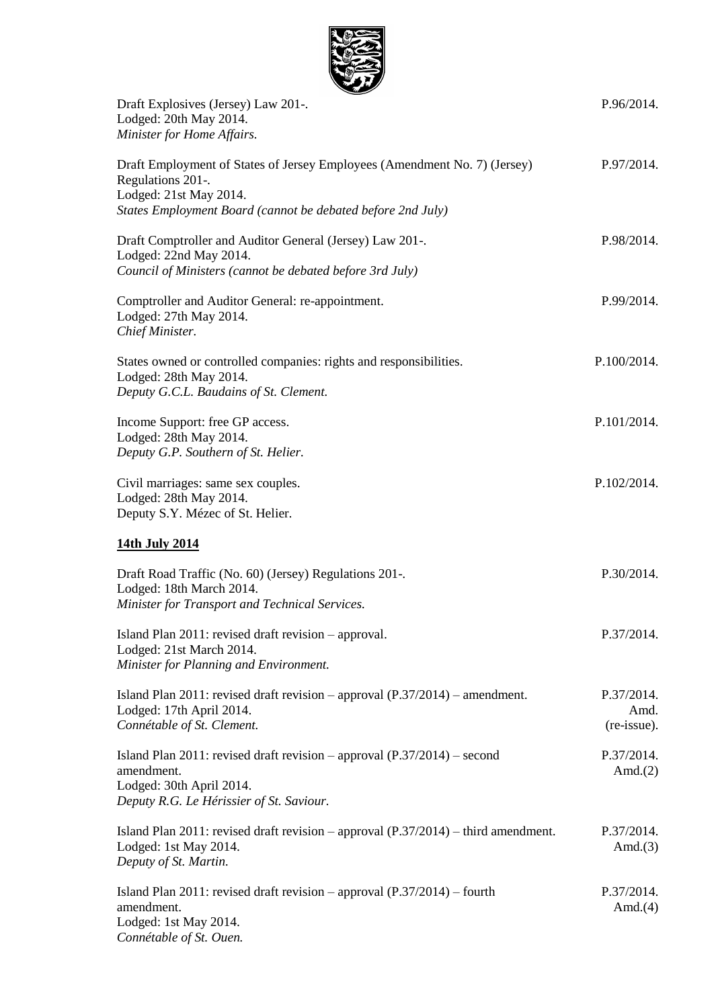

| سمستع<br>Draft Explosives (Jersey) Law 201-.                                                                                                                     | P.96/2014.                        |
|------------------------------------------------------------------------------------------------------------------------------------------------------------------|-----------------------------------|
| Lodged: 20th May 2014.<br>Minister for Home Affairs.                                                                                                             |                                   |
| Draft Employment of States of Jersey Employees (Amendment No. 7) (Jersey)<br>Regulations 201-.<br>Lodged: 21st May 2014.                                         | P.97/2014.                        |
| States Employment Board (cannot be debated before 2nd July)                                                                                                      |                                   |
| Draft Comptroller and Auditor General (Jersey) Law 201-.<br>Lodged: 22nd May 2014.<br>Council of Ministers (cannot be debated before 3rd July)                   | P.98/2014.                        |
| Comptroller and Auditor General: re-appointment.<br>Lodged: 27th May 2014.<br>Chief Minister.                                                                    | P.99/2014.                        |
| States owned or controlled companies: rights and responsibilities.<br>Lodged: 28th May 2014.<br>Deputy G.C.L. Baudains of St. Clement.                           | P.100/2014.                       |
| Income Support: free GP access.<br>Lodged: 28th May 2014.<br>Deputy G.P. Southern of St. Helier.                                                                 | P.101/2014.                       |
| Civil marriages: same sex couples.<br>Lodged: 28th May 2014.<br>Deputy S.Y. Mézec of St. Helier.                                                                 | P.102/2014.                       |
| 14th July 2014                                                                                                                                                   |                                   |
| Draft Road Traffic (No. 60) (Jersey) Regulations 201-.<br>Lodged: 18th March 2014.<br>Minister for Transport and Technical Services.                             | P.30/2014.                        |
| Island Plan 2011: revised draft revision – approval.<br>Lodged: 21st March 2014.<br>Minister for Planning and Environment.                                       | P.37/2014.                        |
| Island Plan 2011: revised draft revision – approval $(P.37/2014)$ – amendment.<br>Lodged: 17th April 2014.<br>Connétable of St. Clement.                         | P.37/2014.<br>Amd.<br>(re-issue). |
| Island Plan 2011: revised draft revision – approval $(P.37/2014)$ – second<br>amendment.<br>Lodged: 30th April 2014.<br>Deputy R.G. Le Hérissier of St. Saviour. | P.37/2014.<br>Amd. $(2)$          |
| Island Plan 2011: revised draft revision – approval $(P.37/2014)$ – third amendment.<br>Lodged: 1st May 2014.<br>Deputy of St. Martin.                           | P.37/2014.<br>Amd. $(3)$          |
| Island Plan 2011: revised draft revision – approval $(P.37/2014)$ – fourth<br>amendment.<br>Lodged: 1st May 2014.<br>Connétable of St. Ouen.                     | P.37/2014.<br>Amd. $(4)$          |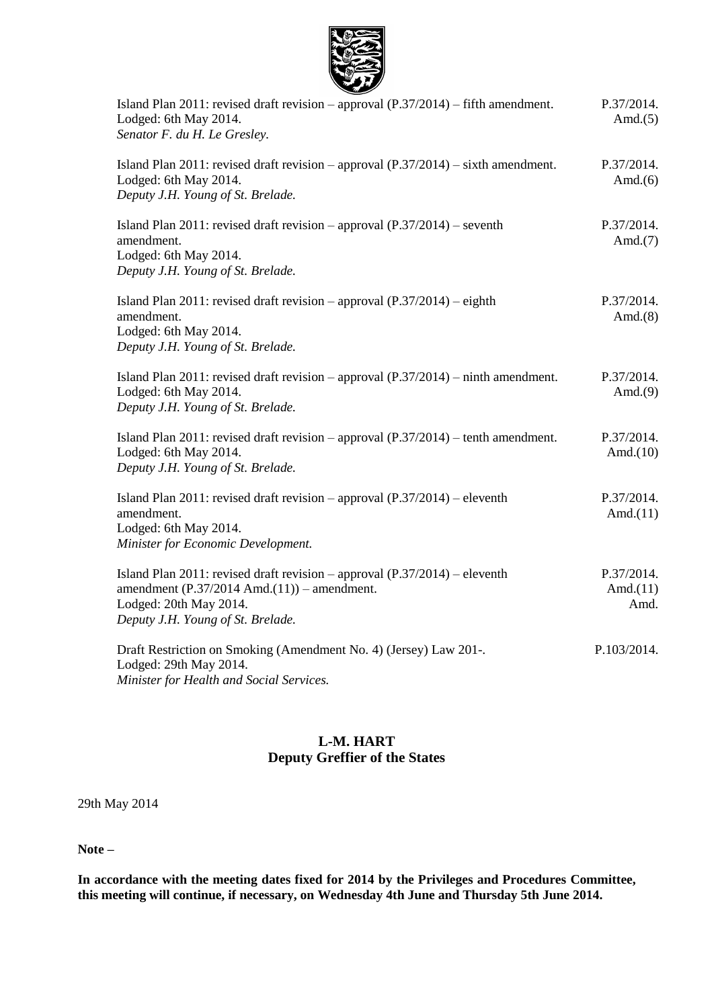

| $-10$<br>Island Plan 2011: revised draft revision – approval $(P.37/2014)$ – fifth amendment.<br>Lodged: 6th May 2014.<br>Senator F. du H. Le Gresley.                                                  | P.37/2014.<br>Amd. $(5)$          |
|---------------------------------------------------------------------------------------------------------------------------------------------------------------------------------------------------------|-----------------------------------|
| Island Plan 2011: revised draft revision – approval $(P.37/2014)$ – sixth amendment.<br>Lodged: 6th May 2014.<br>Deputy J.H. Young of St. Brelade.                                                      | P.37/2014.<br>Amd. $(6)$          |
| Island Plan 2011: revised draft revision – approval $(P.37/2014)$ – seventh<br>amendment.<br>Lodged: 6th May 2014.<br>Deputy J.H. Young of St. Brelade.                                                 | P.37/2014.<br>Amd. $(7)$          |
| Island Plan 2011: revised draft revision – approval $(P.37/2014)$ – eighth<br>amendment.<br>Lodged: 6th May 2014.<br>Deputy J.H. Young of St. Brelade.                                                  | P.37/2014.<br>Amd. $(8)$          |
| Island Plan 2011: revised draft revision – approval $(P.37/2014)$ – ninth amendment.<br>Lodged: 6th May 2014.<br>Deputy J.H. Young of St. Brelade.                                                      | P.37/2014.<br>Amd. $(9)$          |
| Island Plan 2011: revised draft revision – approval $(P.37/2014)$ – tenth amendment.<br>Lodged: 6th May 2014.<br>Deputy J.H. Young of St. Brelade.                                                      | P.37/2014.<br>Amd. $(10)$         |
| Island Plan 2011: revised draft revision – approval $(P.37/2014)$ – eleventh<br>amendment.<br>Lodged: 6th May 2014.<br>Minister for Economic Development.                                               | P.37/2014.<br>Amd. $(11)$         |
| Island Plan $2011$ : revised draft revision – approval $(P.37/2014)$ – eleventh<br>amendment $(P.37/2014 \text{ Amd.}(11))$ - amendment.<br>Lodged: 20th May 2014.<br>Deputy J.H. Young of St. Brelade. | P.37/2014.<br>Amd. $(11)$<br>Amd. |
| Draft Restriction on Smoking (Amendment No. 4) (Jersey) Law 201-.<br>Lodged: 29th May 2014.<br>Minister for Health and Social Services.                                                                 | P.103/2014.                       |

## **L-M. HART Deputy Greffier of the States**

29th May 2014

**Note –**

**In accordance with the meeting dates fixed for 2014 by the Privileges and Procedures Committee, this meeting will continue, if necessary, on Wednesday 4th June and Thursday 5th June 2014.**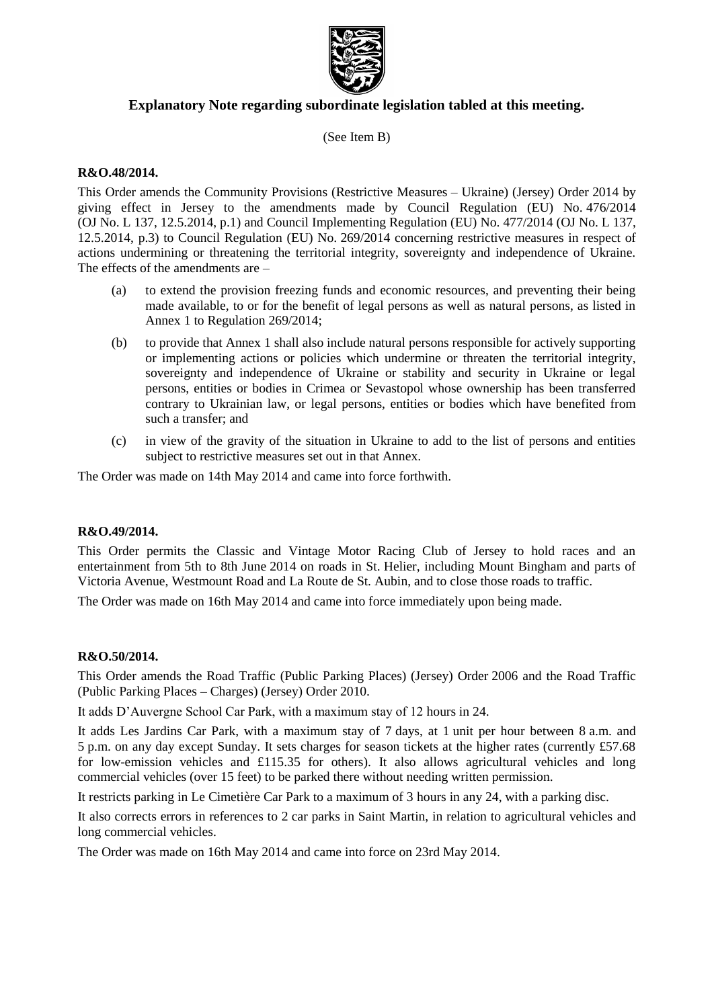

## **Explanatory Note regarding subordinate legislation tabled at this meeting.**

(See Item B)

## **R&O.48/2014.**

This Order amends the Community Provisions (Restrictive Measures – Ukraine) (Jersey) Order 2014 by giving effect in Jersey to the amendments made by Council Regulation (EU) No. 476/2014 (OJ No. L 137, 12.5.2014, p.1) and Council Implementing Regulation (EU) No. 477/2014 (OJ No. L 137, 12.5.2014, p.3) to Council Regulation (EU) No. 269/2014 concerning restrictive measures in respect of actions undermining or threatening the territorial integrity, sovereignty and independence of Ukraine. The effects of the amendments are –

- (a) to extend the provision freezing funds and economic resources, and preventing their being made available, to or for the benefit of legal persons as well as natural persons, as listed in Annex 1 to Regulation 269/2014;
- (b) to provide that Annex 1 shall also include natural persons responsible for actively supporting or implementing actions or policies which undermine or threaten the territorial integrity, sovereignty and independence of Ukraine or stability and security in Ukraine or legal persons, entities or bodies in Crimea or Sevastopol whose ownership has been transferred contrary to Ukrainian law, or legal persons, entities or bodies which have benefited from such a transfer; and
- (c) in view of the gravity of the situation in Ukraine to add to the list of persons and entities subject to restrictive measures set out in that Annex.

The Order was made on 14th May 2014 and came into force forthwith.

#### **R&O.49/2014.**

This Order permits the Classic and Vintage Motor Racing Club of Jersey to hold races and an entertainment from 5th to 8th June 2014 on roads in St. Helier, including Mount Bingham and parts of Victoria Avenue, Westmount Road and La Route de St. Aubin, and to close those roads to traffic.

The Order was made on 16th May 2014 and came into force immediately upon being made.

#### **R&O.50/2014.**

This Order amends the Road Traffic (Public Parking Places) (Jersey) Order 2006 and the Road Traffic (Public Parking Places – Charges) (Jersey) Order 2010.

It adds D'Auvergne School Car Park, with a maximum stay of 12 hours in 24.

It adds Les Jardins Car Park, with a maximum stay of 7 days, at 1 unit per hour between 8 a.m. and 5 p.m. on any day except Sunday. It sets charges for season tickets at the higher rates (currently £57.68 for low-emission vehicles and £115.35 for others). It also allows agricultural vehicles and long commercial vehicles (over 15 feet) to be parked there without needing written permission.

It restricts parking in Le Cimetière Car Park to a maximum of 3 hours in any 24, with a parking disc.

It also corrects errors in references to 2 car parks in Saint Martin, in relation to agricultural vehicles and long commercial vehicles.

The Order was made on 16th May 2014 and came into force on 23rd May 2014.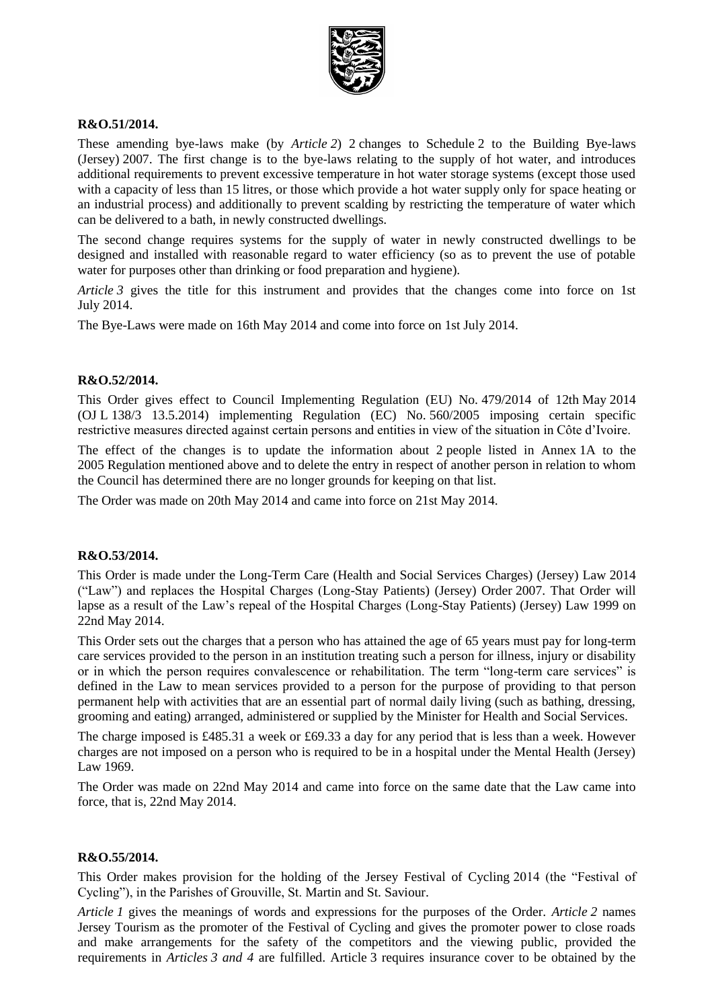

## **R&O.51/2014.**

These amending bye-laws make (by *Article 2*) 2 changes to Schedule 2 to the Building Bye-laws (Jersey) 2007. The first change is to the bye-laws relating to the supply of hot water, and introduces additional requirements to prevent excessive temperature in hot water storage systems (except those used with a capacity of less than 15 litres, or those which provide a hot water supply only for space heating or an industrial process) and additionally to prevent scalding by restricting the temperature of water which can be delivered to a bath, in newly constructed dwellings.

The second change requires systems for the supply of water in newly constructed dwellings to be designed and installed with reasonable regard to water efficiency (so as to prevent the use of potable water for purposes other than drinking or food preparation and hygiene).

*Article* 3 gives the title for this instrument and provides that the changes come into force on 1st July 2014.

The Bye-Laws were made on 16th May 2014 and come into force on 1st July 2014.

## **R&O.52/2014.**

This Order gives effect to Council Implementing Regulation (EU) No. 479/2014 of 12th May 2014 (OJ L 138/3 13.5.2014) implementing Regulation (EC) No. 560/2005 imposing certain specific restrictive measures directed against certain persons and entities in view of the situation in Côte d'Ivoire.

The effect of the changes is to update the information about 2 people listed in Annex 1A to the 2005 Regulation mentioned above and to delete the entry in respect of another person in relation to whom the Council has determined there are no longer grounds for keeping on that list.

The Order was made on 20th May 2014 and came into force on 21st May 2014.

#### **R&O.53/2014.**

This Order is made under the Long-Term Care (Health and Social Services Charges) (Jersey) Law 2014 ("Law") and replaces the Hospital Charges (Long-Stay Patients) (Jersey) Order 2007. That Order will lapse as a result of the Law's repeal of the Hospital Charges (Long-Stay Patients) (Jersey) Law 1999 on 22nd May 2014.

This Order sets out the charges that a person who has attained the age of 65 years must pay for long-term care services provided to the person in an institution treating such a person for illness, injury or disability or in which the person requires convalescence or rehabilitation. The term "long-term care services" is defined in the Law to mean services provided to a person for the purpose of providing to that person permanent help with activities that are an essential part of normal daily living (such as bathing, dressing, grooming and eating) arranged, administered or supplied by the Minister for Health and Social Services.

The charge imposed is £485.31 a week or £69.33 a day for any period that is less than a week. However charges are not imposed on a person who is required to be in a hospital under the Mental Health (Jersey) Law 1969.

The Order was made on 22nd May 2014 and came into force on the same date that the Law came into force, that is, 22nd May 2014.

## **R&O.55/2014.**

This Order makes provision for the holding of the Jersey Festival of Cycling 2014 (the "Festival of Cycling"), in the Parishes of Grouville, St. Martin and St. Saviour.

*Article 1* gives the meanings of words and expressions for the purposes of the Order. *Article 2* names Jersey Tourism as the promoter of the Festival of Cycling and gives the promoter power to close roads and make arrangements for the safety of the competitors and the viewing public, provided the requirements in *Articles 3 and 4* are fulfilled. Article 3 requires insurance cover to be obtained by the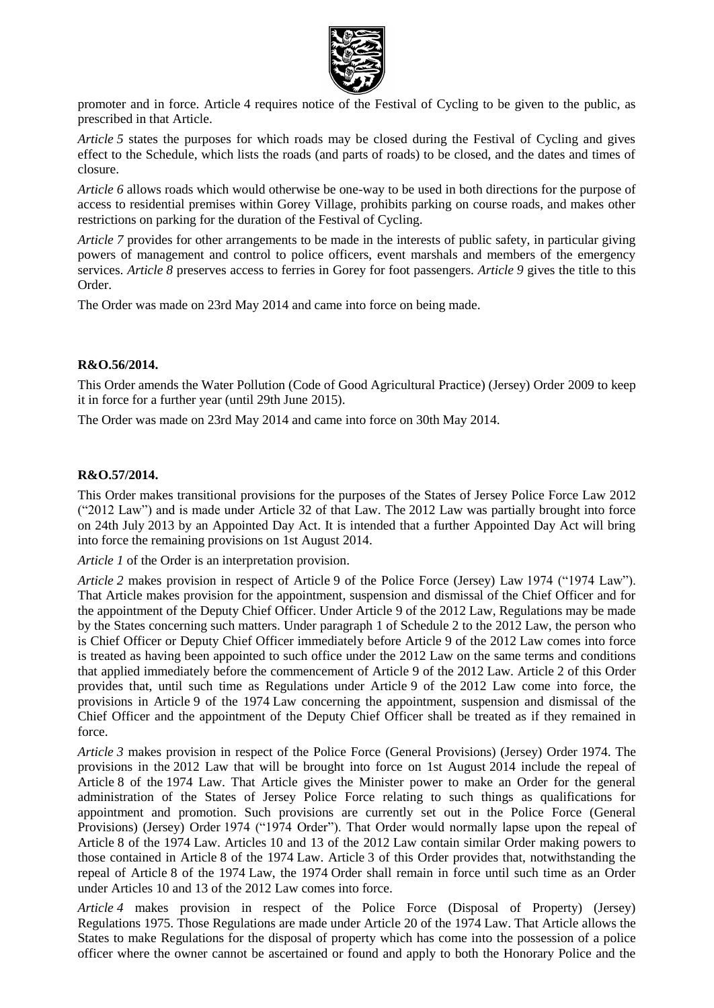

promoter and in force. Article 4 requires notice of the Festival of Cycling to be given to the public, as prescribed in that Article.

*Article 5* states the purposes for which roads may be closed during the Festival of Cycling and gives effect to the Schedule, which lists the roads (and parts of roads) to be closed, and the dates and times of closure.

*Article 6* allows roads which would otherwise be one-way to be used in both directions for the purpose of access to residential premises within Gorey Village, prohibits parking on course roads, and makes other restrictions on parking for the duration of the Festival of Cycling.

*Article 7* provides for other arrangements to be made in the interests of public safety, in particular giving powers of management and control to police officers, event marshals and members of the emergency services. *Article 8* preserves access to ferries in Gorey for foot passengers. *Article 9* gives the title to this Order.

The Order was made on 23rd May 2014 and came into force on being made.

#### **R&O.56/2014.**

This Order amends the Water Pollution (Code of Good Agricultural Practice) (Jersey) Order 2009 to keep it in force for a further year (until 29th June 2015).

The Order was made on 23rd May 2014 and came into force on 30th May 2014.

#### **R&O.57/2014.**

This Order makes transitional provisions for the purposes of the States of Jersey Police Force Law 2012 ("2012 Law") and is made under Article 32 of that Law. The 2012 Law was partially brought into force on 24th July 2013 by an Appointed Day Act. It is intended that a further Appointed Day Act will bring into force the remaining provisions on 1st August 2014.

*Article 1* of the Order is an interpretation provision.

*Article 2* makes provision in respect of Article 9 of the Police Force (Jersey) Law 1974 ("1974 Law"). That Article makes provision for the appointment, suspension and dismissal of the Chief Officer and for the appointment of the Deputy Chief Officer. Under Article 9 of the 2012 Law, Regulations may be made by the States concerning such matters. Under paragraph 1 of Schedule 2 to the 2012 Law, the person who is Chief Officer or Deputy Chief Officer immediately before Article 9 of the 2012 Law comes into force is treated as having been appointed to such office under the 2012 Law on the same terms and conditions that applied immediately before the commencement of Article 9 of the 2012 Law. Article 2 of this Order provides that, until such time as Regulations under Article 9 of the 2012 Law come into force, the provisions in Article 9 of the 1974 Law concerning the appointment, suspension and dismissal of the Chief Officer and the appointment of the Deputy Chief Officer shall be treated as if they remained in force.

*Article 3* makes provision in respect of the Police Force (General Provisions) (Jersey) Order 1974. The provisions in the 2012 Law that will be brought into force on 1st August 2014 include the repeal of Article 8 of the 1974 Law. That Article gives the Minister power to make an Order for the general administration of the States of Jersey Police Force relating to such things as qualifications for appointment and promotion. Such provisions are currently set out in the Police Force (General Provisions) (Jersey) Order 1974 ("1974 Order"). That Order would normally lapse upon the repeal of Article 8 of the 1974 Law. Articles 10 and 13 of the 2012 Law contain similar Order making powers to those contained in Article 8 of the 1974 Law. Article 3 of this Order provides that, notwithstanding the repeal of Article 8 of the 1974 Law, the 1974 Order shall remain in force until such time as an Order under Articles 10 and 13 of the 2012 Law comes into force.

*Article 4* makes provision in respect of the Police Force (Disposal of Property) (Jersey) Regulations 1975. Those Regulations are made under Article 20 of the 1974 Law. That Article allows the States to make Regulations for the disposal of property which has come into the possession of a police officer where the owner cannot be ascertained or found and apply to both the Honorary Police and the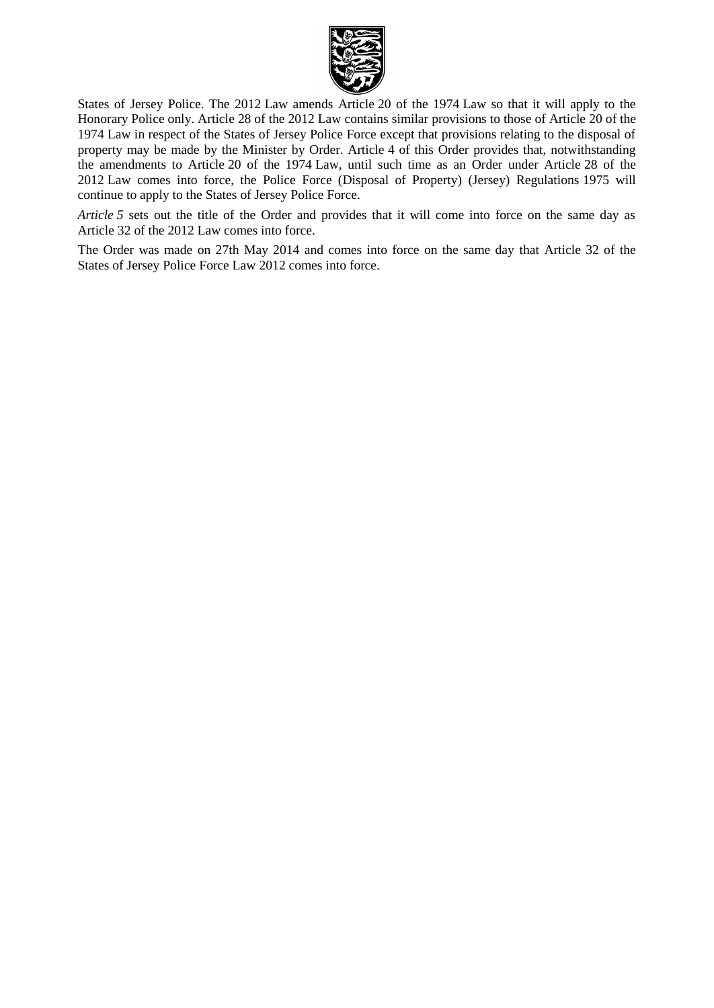

States of Jersey Police. The 2012 Law amends Article 20 of the 1974 Law so that it will apply to the Honorary Police only. Article 28 of the 2012 Law contains similar provisions to those of Article 20 of the 1974 Law in respect of the States of Jersey Police Force except that provisions relating to the disposal of property may be made by the Minister by Order. Article 4 of this Order provides that, notwithstanding the amendments to Article 20 of the 1974 Law, until such time as an Order under Article 28 of the 2012 Law comes into force, the Police Force (Disposal of Property) (Jersey) Regulations 1975 will continue to apply to the States of Jersey Police Force.

*Article* 5 sets out the title of the Order and provides that it will come into force on the same day as Article 32 of the 2012 Law comes into force.

The Order was made on 27th May 2014 and comes into force on the same day that Article 32 of the States of Jersey Police Force Law 2012 comes into force.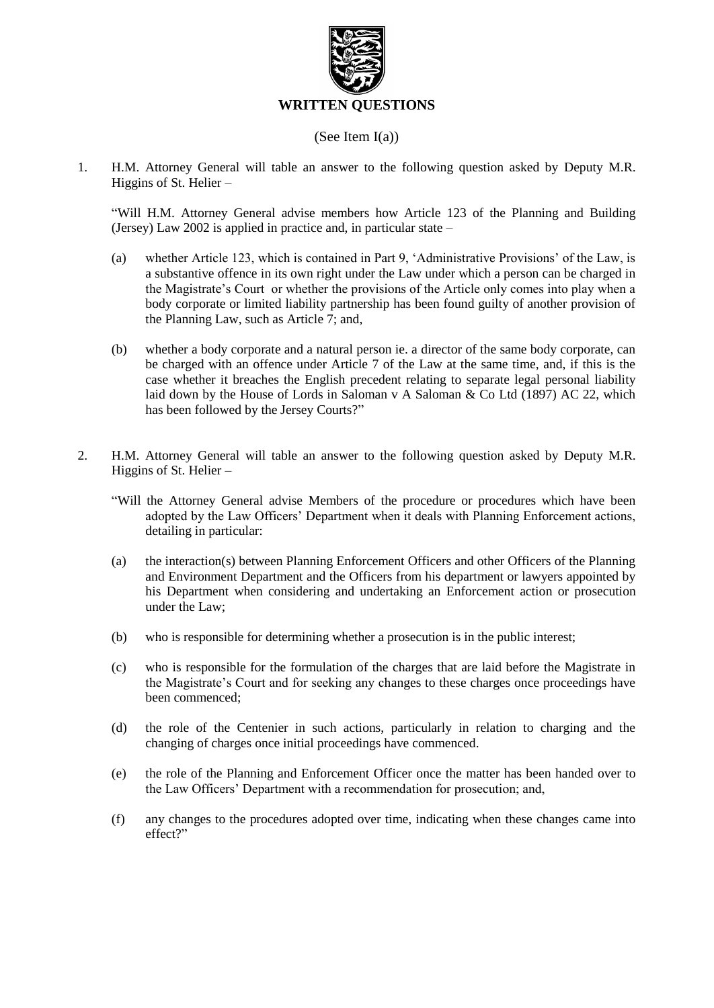

## (See Item I(a))

1. H.M. Attorney General will table an answer to the following question asked by Deputy M.R. Higgins of St. Helier –

"Will H.M. Attorney General advise members how Article 123 of the Planning and Building (Jersey) Law 2002 is applied in practice and, in particular state –

- (a) whether Article 123, which is contained in Part 9, 'Administrative Provisions' of the Law, is a substantive offence in its own right under the Law under which a person can be charged in the Magistrate's Court or whether the provisions of the Article only comes into play when a body corporate or limited liability partnership has been found guilty of another provision of the Planning Law, such as Article 7; and,
- (b) whether a body corporate and a natural person ie. a director of the same body corporate, can be charged with an offence under Article 7 of the Law at the same time, and, if this is the case whether it breaches the English precedent relating to separate legal personal liability laid down by the House of Lords in Saloman v A Saloman & Co Ltd (1897) AC 22, which has been followed by the Jersey Courts?"
- 2. H.M. Attorney General will table an answer to the following question asked by Deputy M.R. Higgins of St. Helier –
	- "Will the Attorney General advise Members of the procedure or procedures which have been adopted by the Law Officers' Department when it deals with Planning Enforcement actions, detailing in particular:
	- (a) the interaction(s) between Planning Enforcement Officers and other Officers of the Planning and Environment Department and the Officers from his department or lawyers appointed by his Department when considering and undertaking an Enforcement action or prosecution under the Law;
	- (b) who is responsible for determining whether a prosecution is in the public interest;
	- (c) who is responsible for the formulation of the charges that are laid before the Magistrate in the Magistrate's Court and for seeking any changes to these charges once proceedings have been commenced;
	- (d) the role of the Centenier in such actions, particularly in relation to charging and the changing of charges once initial proceedings have commenced.
	- (e) the role of the Planning and Enforcement Officer once the matter has been handed over to the Law Officers' Department with a recommendation for prosecution; and,
	- (f) any changes to the procedures adopted over time, indicating when these changes came into effect?"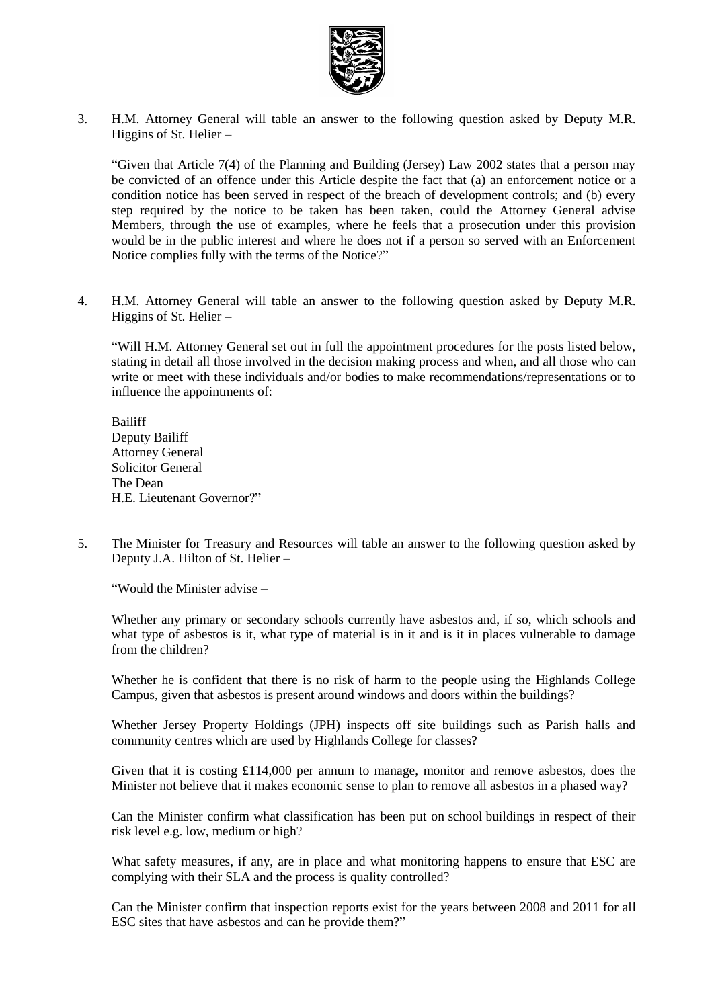

3. H.M. Attorney General will table an answer to the following question asked by Deputy M.R. Higgins of St. Helier –

"Given that Article 7(4) of the Planning and Building (Jersey) Law 2002 states that a person may be convicted of an offence under this Article despite the fact that (a) an enforcement notice or a condition notice has been served in respect of the breach of development controls; and (b) every step required by the notice to be taken has been taken, could the Attorney General advise Members, through the use of examples, where he feels that a prosecution under this provision would be in the public interest and where he does not if a person so served with an Enforcement Notice complies fully with the terms of the Notice?"

4. H.M. Attorney General will table an answer to the following question asked by Deputy M.R. Higgins of St. Helier –

"Will H.M. Attorney General set out in full the appointment procedures for the posts listed below, stating in detail all those involved in the decision making process and when, and all those who can write or meet with these individuals and/or bodies to make recommendations/representations or to influence the appointments of:

Bailiff Deputy Bailiff Attorney General Solicitor General The Dean H.E. Lieutenant Governor?"

5. The Minister for Treasury and Resources will table an answer to the following question asked by Deputy J.A. Hilton of St. Helier –

"Would the Minister advise –

Whether any primary or secondary schools currently have asbestos and, if so, which schools and what type of asbestos is it, what type of material is in it and is it in places vulnerable to damage from the children?

Whether he is confident that there is no risk of harm to the people using the Highlands College Campus, given that asbestos is present around windows and doors within the buildings?

Whether Jersey Property Holdings (JPH) inspects off site buildings such as Parish halls and community centres which are used by Highlands College for classes?

Given that it is costing £114,000 per annum to manage, monitor and remove asbestos, does the Minister not believe that it makes economic sense to plan to remove all asbestos in a phased way?

Can the Minister confirm what classification has been put on school buildings in respect of their risk level e.g. low, medium or high?

What safety measures, if any, are in place and what monitoring happens to ensure that ESC are complying with their SLA and the process is quality controlled?

Can the Minister confirm that inspection reports exist for the years between 2008 and 2011 for all ESC sites that have asbestos and can he provide them?"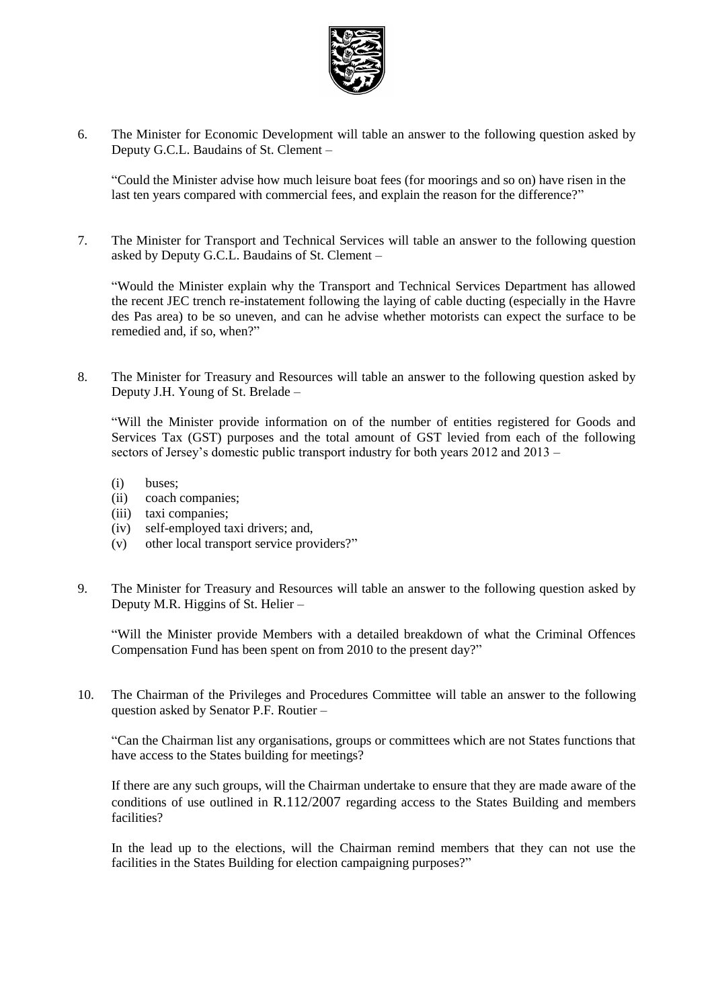

6. The Minister for Economic Development will table an answer to the following question asked by Deputy G.C.L. Baudains of St. Clement –

"Could the Minister advise how much leisure boat fees (for moorings and so on) have risen in the last ten years compared with commercial fees, and explain the reason for the difference?"

7. The Minister for Transport and Technical Services will table an answer to the following question asked by Deputy G.C.L. Baudains of St. Clement –

"Would the Minister explain why the Transport and Technical Services Department has allowed the recent JEC trench re-instatement following the laying of cable ducting (especially in the Havre des Pas area) to be so uneven, and can he advise whether motorists can expect the surface to be remedied and, if so, when?"

8. The Minister for Treasury and Resources will table an answer to the following question asked by Deputy J.H. Young of St. Brelade –

"Will the Minister provide information on of the number of entities registered for Goods and Services Tax (GST) purposes and the total amount of GST levied from each of the following sectors of Jersey's domestic public transport industry for both years 2012 and 2013 –

- (i) buses;
- (ii) coach companies;
- (iii) taxi companies;
- (iv) self-employed taxi drivers; and,
- (v) other local transport service providers?"
- 9. The Minister for Treasury and Resources will table an answer to the following question asked by Deputy M.R. Higgins of St. Helier –

"Will the Minister provide Members with a detailed breakdown of what the Criminal Offences Compensation Fund has been spent on from 2010 to the present day?"

10. The Chairman of the Privileges and Procedures Committee will table an answer to the following question asked by Senator P.F. Routier –

"Can the Chairman list any organisations, groups or committees which are not States functions that have access to the States building for meetings?

If there are any such groups, will the Chairman undertake to ensure that they are made aware of the conditions of use outlined in R.112/2007 regarding access to the States Building and members facilities?

In the lead up to the elections, will the Chairman remind members that they can not use the facilities in the States Building for election campaigning purposes?"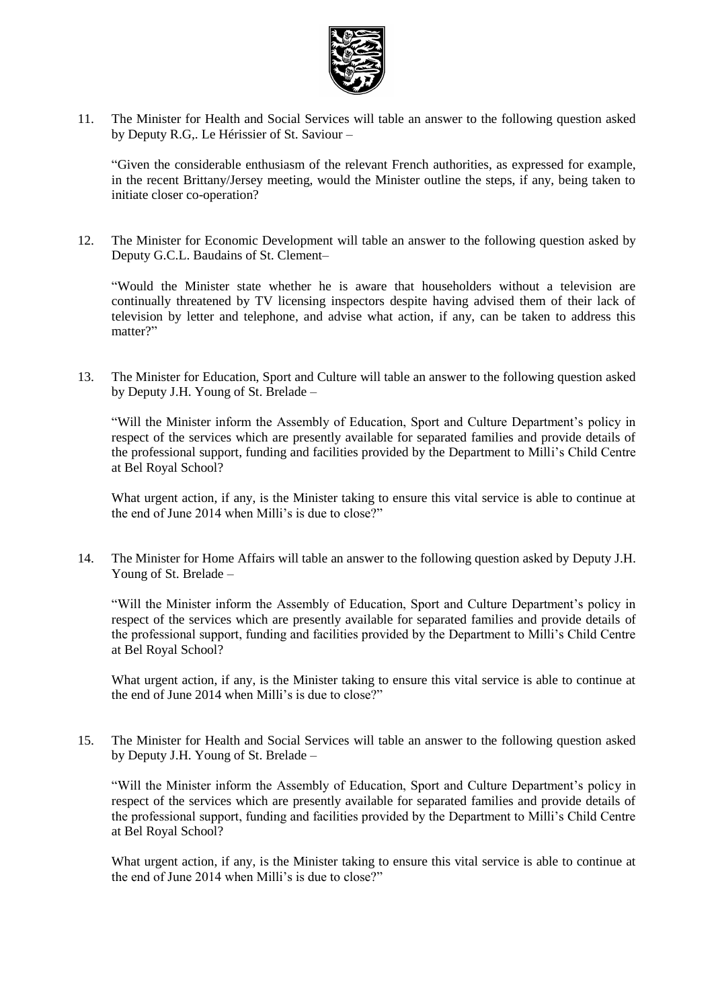

11. The Minister for Health and Social Services will table an answer to the following question asked by Deputy R.G,. Le Hérissier of St. Saviour –

"Given the considerable enthusiasm of the relevant French authorities, as expressed for example, in the recent Brittany/Jersey meeting, would the Minister outline the steps, if any, being taken to initiate closer co-operation?

12. The Minister for Economic Development will table an answer to the following question asked by Deputy G.C.L. Baudains of St. Clement–

"Would the Minister state whether he is aware that householders without a television are continually threatened by TV licensing inspectors despite having advised them of their lack of television by letter and telephone, and advise what action, if any, can be taken to address this matter?"

13. The Minister for Education, Sport and Culture will table an answer to the following question asked by Deputy J.H. Young of St. Brelade –

"Will the Minister inform the Assembly of Education, Sport and Culture Department's policy in respect of the services which are presently available for separated families and provide details of the professional support, funding and facilities provided by the Department to Milli's Child Centre at Bel Royal School?

What urgent action, if any, is the Minister taking to ensure this vital service is able to continue at the end of June 2014 when Milli's is due to close?"

14. The Minister for Home Affairs will table an answer to the following question asked by Deputy J.H. Young of St. Brelade –

"Will the Minister inform the Assembly of Education, Sport and Culture Department's policy in respect of the services which are presently available for separated families and provide details of the professional support, funding and facilities provided by the Department to Milli's Child Centre at Bel Royal School?

What urgent action, if any, is the Minister taking to ensure this vital service is able to continue at the end of June 2014 when Milli's is due to close?"

15. The Minister for Health and Social Services will table an answer to the following question asked by Deputy J.H. Young of St. Brelade –

"Will the Minister inform the Assembly of Education, Sport and Culture Department's policy in respect of the services which are presently available for separated families and provide details of the professional support, funding and facilities provided by the Department to Milli's Child Centre at Bel Royal School?

What urgent action, if any, is the Minister taking to ensure this vital service is able to continue at the end of June 2014 when Milli's is due to close?"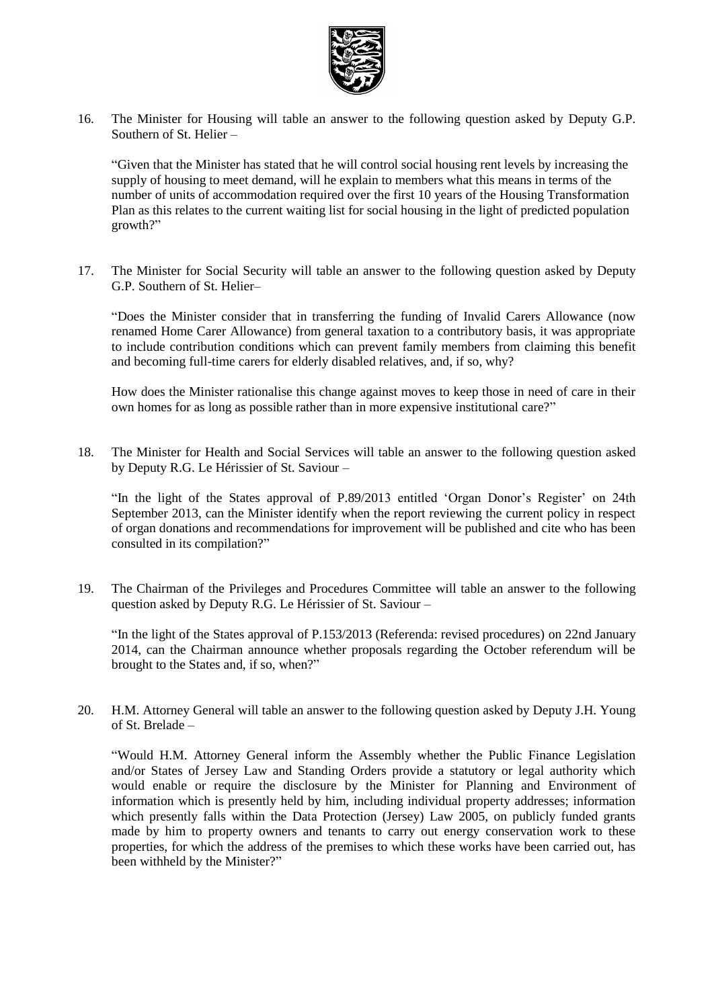

16. The Minister for Housing will table an answer to the following question asked by Deputy G.P. Southern of St. Helier –

"Given that the Minister has stated that he will control social housing rent levels by increasing the supply of housing to meet demand, will he explain to members what this means in terms of the number of units of accommodation required over the first 10 years of the Housing Transformation Plan as this relates to the current waiting list for social housing in the light of predicted population growth?"

17. The Minister for Social Security will table an answer to the following question asked by Deputy G.P. Southern of St. Helier–

"Does the Minister consider that in transferring the funding of Invalid Carers Allowance (now renamed Home Carer Allowance) from general taxation to a contributory basis, it was appropriate to include contribution conditions which can prevent family members from claiming this benefit and becoming full-time carers for elderly disabled relatives, and, if so, why?

How does the Minister rationalise this change against moves to keep those in need of care in their own homes for as long as possible rather than in more expensive institutional care?"

18. The Minister for Health and Social Services will table an answer to the following question asked by Deputy R.G. Le Hérissier of St. Saviour –

"In the light of the States approval of P.89/2013 entitled 'Organ Donor's Register' on 24th September 2013, can the Minister identify when the report reviewing the current policy in respect of organ donations and recommendations for improvement will be published and cite who has been consulted in its compilation?"

19. The Chairman of the Privileges and Procedures Committee will table an answer to the following question asked by Deputy R.G. Le Hérissier of St. Saviour –

"In the light of the States approval of P.153/2013 (Referenda: revised procedures) on 22nd January 2014, can the Chairman announce whether proposals regarding the October referendum will be brought to the States and, if so, when?"

20. H.M. Attorney General will table an answer to the following question asked by Deputy J.H. Young of St. Brelade –

"Would H.M. Attorney General inform the Assembly whether the Public Finance Legislation and/or States of Jersey Law and Standing Orders provide a statutory or legal authority which would enable or require the disclosure by the Minister for Planning and Environment of information which is presently held by him, including individual property addresses; information which presently falls within the Data Protection (Jersey) Law 2005, on publicly funded grants made by him to property owners and tenants to carry out energy conservation work to these properties, for which the address of the premises to which these works have been carried out, has been withheld by the Minister?"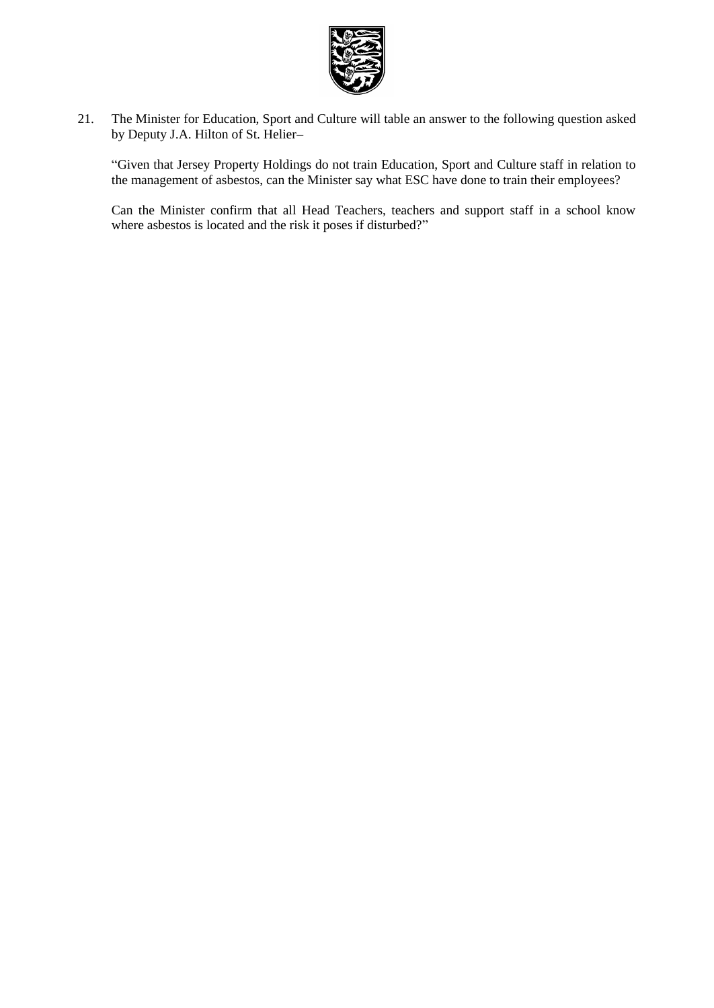

21. The Minister for Education, Sport and Culture will table an answer to the following question asked by Deputy J.A. Hilton of St. Helier–

"Given that Jersey Property Holdings do not train Education, Sport and Culture staff in relation to the management of asbestos, can the Minister say what ESC have done to train their employees?

Can the Minister confirm that all Head Teachers, teachers and support staff in a school know where asbestos is located and the risk it poses if disturbed?"